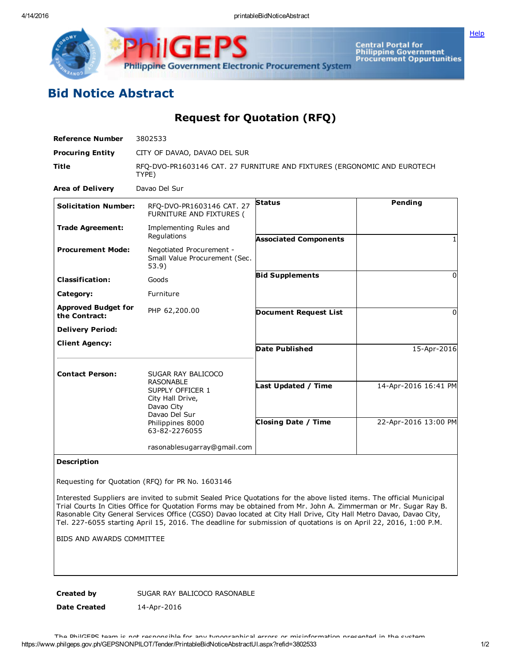

IGF Philippine Government Electronic Procurement System

Central Portal for<br>Philippine Government<br>Procurement Oppurtunities

## Bid Notice Abstract

Request for Quotation (RFQ)

| CITY OF DAVAO, DAVAO DEL SUR<br>RFQ-DVO-PR1603146 CAT. 27 FURNITURE AND FIXTURES (ERGONOMIC AND EUROTECH<br>TYPE)<br>Davao Del Sur<br>Pending<br><b>Status</b><br><b>Solicitation Number:</b><br>RFQ-DVO-PR1603146 CAT. 27<br>FURNITURE AND FIXTURES (<br><b>Trade Agreement:</b><br>Implementing Rules and<br>Regulations<br><b>Associated Components</b><br><b>Procurement Mode:</b><br>Negotiated Procurement -<br>Small Value Procurement (Sec.<br>53.9)<br><b>Bid Supplements</b><br><b>Classification:</b><br>Goods<br>Furniture<br>Category:<br><b>Approved Budget for</b><br>PHP 62,200.00<br><b>Document Request List</b><br>the Contract:<br><b>Delivery Period:</b><br><b>Client Agency:</b><br><b>Date Published</b><br><b>Contact Person:</b><br>SUGAR RAY BALICOCO<br><b>RASONABLE</b><br>Last Updated / Time<br>SUPPLY OFFICER 1<br>City Hall Drive,<br>Davao City<br>Davao Del Sur<br><b>Closing Date / Time</b><br>Philippines 8000<br>63-82-2276055 | <b>Reference Number</b> | 3802533                     |  |                                              |
|-----------------------------------------------------------------------------------------------------------------------------------------------------------------------------------------------------------------------------------------------------------------------------------------------------------------------------------------------------------------------------------------------------------------------------------------------------------------------------------------------------------------------------------------------------------------------------------------------------------------------------------------------------------------------------------------------------------------------------------------------------------------------------------------------------------------------------------------------------------------------------------------------------------------------------------------------------------------------|-------------------------|-----------------------------|--|----------------------------------------------|
|                                                                                                                                                                                                                                                                                                                                                                                                                                                                                                                                                                                                                                                                                                                                                                                                                                                                                                                                                                       | <b>Procuring Entity</b> |                             |  |                                              |
|                                                                                                                                                                                                                                                                                                                                                                                                                                                                                                                                                                                                                                                                                                                                                                                                                                                                                                                                                                       | <b>Title</b>            |                             |  |                                              |
|                                                                                                                                                                                                                                                                                                                                                                                                                                                                                                                                                                                                                                                                                                                                                                                                                                                                                                                                                                       | <b>Area of Delivery</b> |                             |  |                                              |
|                                                                                                                                                                                                                                                                                                                                                                                                                                                                                                                                                                                                                                                                                                                                                                                                                                                                                                                                                                       |                         |                             |  |                                              |
|                                                                                                                                                                                                                                                                                                                                                                                                                                                                                                                                                                                                                                                                                                                                                                                                                                                                                                                                                                       |                         |                             |  |                                              |
|                                                                                                                                                                                                                                                                                                                                                                                                                                                                                                                                                                                                                                                                                                                                                                                                                                                                                                                                                                       |                         |                             |  |                                              |
|                                                                                                                                                                                                                                                                                                                                                                                                                                                                                                                                                                                                                                                                                                                                                                                                                                                                                                                                                                       |                         |                             |  | 0                                            |
|                                                                                                                                                                                                                                                                                                                                                                                                                                                                                                                                                                                                                                                                                                                                                                                                                                                                                                                                                                       |                         |                             |  |                                              |
|                                                                                                                                                                                                                                                                                                                                                                                                                                                                                                                                                                                                                                                                                                                                                                                                                                                                                                                                                                       |                         |                             |  | 0                                            |
|                                                                                                                                                                                                                                                                                                                                                                                                                                                                                                                                                                                                                                                                                                                                                                                                                                                                                                                                                                       |                         |                             |  |                                              |
|                                                                                                                                                                                                                                                                                                                                                                                                                                                                                                                                                                                                                                                                                                                                                                                                                                                                                                                                                                       |                         |                             |  | 15-Apr-2016                                  |
|                                                                                                                                                                                                                                                                                                                                                                                                                                                                                                                                                                                                                                                                                                                                                                                                                                                                                                                                                                       |                         |                             |  | 14-Apr-2016 16:41 PM<br>22-Apr-2016 13:00 PM |
|                                                                                                                                                                                                                                                                                                                                                                                                                                                                                                                                                                                                                                                                                                                                                                                                                                                                                                                                                                       |                         | rasonablesugarray@gmail.com |  |                                              |

## Description

Requesting for Quotation (RFQ) for PR No. 1603146

Interested Suppliers are invited to submit Sealed Price Quotations for the above listed items. The official Municipal Trial Courts In Cities Office for Quotation Forms may be obtained from Mr. John A. Zimmerman or Mr. Sugar Ray B. Rasonable City General Services Office (CGSO) Davao located at City Hall Drive, City Hall Metro Davao, Davao City, Tel. 227-6055 starting April 15, 2016. The deadline for submission of quotations is on April 22, 2016, 1:00 P.M.

BIDS AND AWARDS COMMITTEE

Created by SUGAR RAY BALICOCO RASONABLE

Date Created 14-Apr-2016